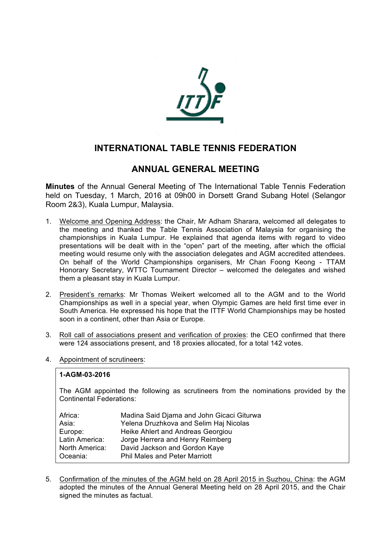

### **INTERNATIONAL TABLE TENNIS FEDERATION**

### **ANNUAL GENERAL MEETING**

**Minutes** of the Annual General Meeting of The International Table Tennis Federation held on Tuesday, 1 March, 2016 at 09h00 in Dorsett Grand Subang Hotel (Selangor Room 2&3), Kuala Lumpur, Malaysia.

- 1. Welcome and Opening Address: the Chair, Mr Adham Sharara, welcomed all delegates to the meeting and thanked the Table Tennis Association of Malaysia for organising the championships in Kuala Lumpur. He explained that agenda items with regard to video presentations will be dealt with in the "open" part of the meeting, after which the official meeting would resume only with the association delegates and AGM accredited attendees. On behalf of the World Championships organisers, Mr Chan Foong Keong - TTAM Honorary Secretary, WTTC Tournament Director – welcomed the delegates and wished them a pleasant stay in Kuala Lumpur.
- 2. President's remarks: Mr Thomas Weikert welcomed all to the AGM and to the World Championships as well in a special year, when Olympic Games are held first time ever in South America. He expressed his hope that the ITTF World Championships may be hosted soon in a continent, other than Asia or Europe.
- 3. Roll call of associations present and verification of proxies: the CEO confirmed that there were 124 associations present, and 18 proxies allocated, for a total 142 votes.
- 4. Appointment of scrutineers:

#### **1-AGM-03-2016**

The AGM appointed the following as scrutineers from the nominations provided by the Continental Federations:

| Africa:        | Madina Said Djama and John Gicaci Giturwa |
|----------------|-------------------------------------------|
| Asia:          | Yelena Druzhkova and Selim Haj Nicolas    |
| Europe:        | Heike Ahlert and Andreas Georgiou         |
| Latin America: | Jorge Herrera and Henry Reimberg          |
| North America: | David Jackson and Gordon Kaye             |
| Oceania:       | <b>Phil Males and Peter Marriott</b>      |

5. Confirmation of the minutes of the AGM held on 28 April 2015 in Suzhou, China: the AGM adopted the minutes of the Annual General Meeting held on 28 April 2015, and the Chair signed the minutes as factual.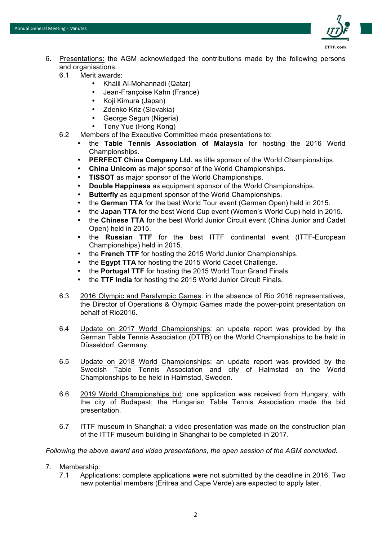

- 6. Presentations: the AGM acknowledged the contributions made by the following persons and organisations:
	- 6.1 Merit awards:
		- Khalil Al-Mohannadi (Qatar)
		- Jean-Françoise Kahn (France)
		- Koji Kimura (Japan)
		- Zdenko Kriz (Slovakia)
		- George Segun (Nigeria)
		- Tony Yue (Hong Kong)
	- 6.2 Members of the Executive Committee made presentations to:
		- the **Table Tennis Association of Malaysia** for hosting the 2016 World Championships.
		- **PERFECT China Company Ltd.** as title sponsor of the World Championships.
		- **China Unicom** as major sponsor of the World Championships.
		- **TISSOT** as major sponsor of the World Championships.
		- **Double Happiness** as equipment sponsor of the World Championships.
		- **Butterfly** as equipment sponsor of the World Championships.
		- the **German TTA** for the best World Tour event (German Open) held in 2015.
		- the **Japan TTA** for the best World Cup event (Women's World Cup) held in 2015.
		- the **Chinese TTA** for the best World Junior Circuit event (China Junior and Cadet Open) held in 2015.
		- the **Russian TTF** for the best ITTF continental event (ITTF-European Championships) held in 2015.
		- the **French TTF** for hosting the 2015 World Junior Championships.
		- the **Egypt TTA** for hosting the 2015 World Cadet Challenge.
		- the **Portugal TTF** for hosting the 2015 World Tour Grand Finals.
		- the **TTF India** for hosting the 2015 World Junior Circuit Finals.
	- 6.3 2016 Olympic and Paralympic Games: in the absence of Rio 2016 representatives, the Director of Operations & Olympic Games made the power-point presentation on behalf of Rio2016.
	- 6.4 Update on 2017 World Championships: an update report was provided by the German Table Tennis Association (DTTB) on the World Championships to be held in Düsseldorf, Germany.
	- 6.5 Update on 2018 World Championships: an update report was provided by the Swedish Table Tennis Association and city of Halmstad on the World Championships to be held in Halmstad, Sweden.
	- 6.6 2019 World Championships bid: one application was received from Hungary, with the city of Budapest; the Hungarian Table Tennis Association made the bid presentation.
	- 6.7 ITTF museum in Shanghai: a video presentation was made on the construction plan of the ITTF museum building in Shanghai to be completed in 2017.

*Following the above award and video presentations, the open session of the AGM concluded.* 

- 7. Membership:
	- 7.1 Applications: complete applications were not submitted by the deadline in 2016. Two new potential members (Eritrea and Cape Verde) are expected to apply later.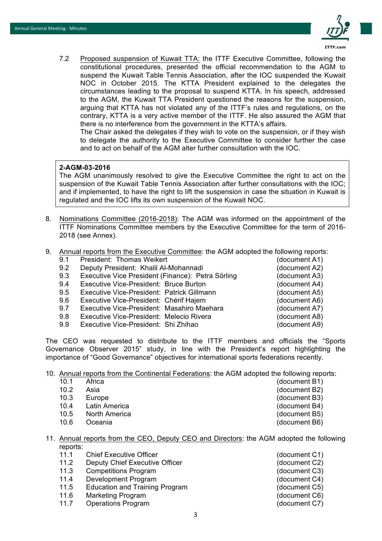

7.2 Proposed suspension of Kuwait TTA: the ITTF Executive Committee, following the constitutional procedures, presented the official recommendation to the AGM to suspend the Kuwait Table Tennis Association, after the IOC suspended the Kuwait NOC in October 2015. The KTTA President explained to the delegates the circumstances leading to the proposal to suspend KTTA. In his speech, addressed to the AGM, the Kuwait TTA President questioned the reasons for the suspension, arguing that KTTA has not violated any of the ITTF's rules and regulations, on the contrary, KTTA is a very active member of the ITTF. He also assured the AGM that there is no interference from the government in the KTTA's affairs.

The Chair asked the delegates if they wish to vote on the suspension, or if they wish to delegate the authority to the Executive Committee to consider further the case and to act on behalf of the AGM alter further consultation with the IOC.

#### **2-AGM-03-2016**

The AGM unanimously resolved to give the Executive Committee the right to act on the suspension of the Kuwait Table Tennis Association after further consultations with the IOC; and if implemented, to have the right to lift the suspension in case the situation in Kuwait is regulated and the IOC lifts its own suspension of the Kuwait NOC.

- 8. Nominations Committee (2016-2018): The AGM was informed on the appointment of the ITTF Nominations Committee members by the Executive Committee for the term of 2016- 2018 (see Annex).
- 9. Annual reports from the Executive Committee: the AGM adopted the following reports:

| 9.1 | President: Thomas Weikert                         | (document A1) |
|-----|---------------------------------------------------|---------------|
| 9.2 | Deputy President: Khalil Al-Mohannadi             | (document A2) |
| 9.3 | Executive Vice President (Finance): Petra Sörling | (document A3) |
| 9.4 | Executive Vice-President: Bruce Burton            | (document A4) |
| 9.5 | Executive Vice-President: Patrick Gillmann        | (document A5) |
| 9.6 | Executive Vice-President: Chérif Hajem            | (document A6) |
| 9.7 | Executive Vice-President: Masahiro Maehara        | (document A7) |
| 9.8 | Executive Vice-President: Melecio Rivera          | (document A8) |
| 9.9 | Executive Vice-President: Shi Zhihao              | (document A9) |

The CEO was requested to distribute to the ITTF members and officials the "Sports Governance Observer 2015" study, in line with the President's report highlighting the importance of "Good Governance" objectives for international sports federations recently.

10. Annual reports from the Continental Federations: the AGM adopted the following reports:

| 10.1 | Africa |  |
|------|--------|--|
| 10.2 | Asia   |  |

- 10.3 Europe (document B3)
- 10.4 Latin America (document B4)
- 10.5 North America (document B5)
- 10.6 Oceania (document B6)
- 11. Annual reports from the CEO, Deputy CEO and Directors: the AGM adopted the following reports:
	- 11.1 Chief Executive Officer (document C1)
	- 11.2 Deputy Chief Executive Officer (document C2)
	- 11.3 Competitions Program (document C3)
	- 11.4 Development Program (document C4)
	- 11.5 Education and Training Program (document C5)
	- 11.6 Marketing Program (document C6)
	- 11.7 Operations Program (document C7)
- 

(document B1) (document B2)

3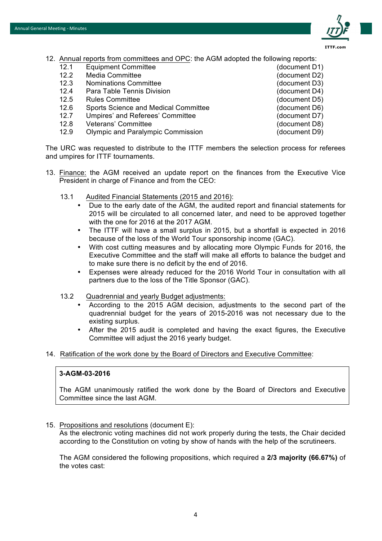

- 12. Annual reports from committees and OPC: the AGM adopted the following reports:
	- 12.1 Equipment Committee (document D1)
	- 12.2 Media Committee (document D2)
	- 12.3 Nominations Committee (document D3)
	- 12.4 Para Table Tennis Division (document D4)
	- 12.5 Rules Committee (document D5)
	- 12.6 Sports Science and Medical Committee (document D6)
	- 12.7 Umpires' and Referees' Committee (document D7)
	- 12.8 Veterans' Committee (document D8)
	- 12.9 Olympic and Paralympic Commission (document D9)

The URC was requested to distribute to the ITTF members the selection process for referees and umpires for ITTF tournaments.

- 13. Finance: the AGM received an update report on the finances from the Executive Vice President in charge of Finance and from the CEO:
	- 13.1 Audited Financial Statements (2015 and 2016):
		- Due to the early date of the AGM, the audited report and financial statements for 2015 will be circulated to all concerned later, and need to be approved together with the one for 2016 at the 2017 AGM.
		- The ITTF will have a small surplus in 2015, but a shortfall is expected in 2016 because of the loss of the World Tour sponsorship income (GAC).
		- With cost cutting measures and by allocating more Olympic Funds for 2016, the Executive Committee and the staff will make all efforts to balance the budget and to make sure there is no deficit by the end of 2016.
		- Expenses were already reduced for the 2016 World Tour in consultation with all partners due to the loss of the Title Sponsor (GAC).
	- 13.2 Quadrennial and yearly Budget adjustments:
		- According to the 2015 AGM decision, adjustments to the second part of the quadrennial budget for the years of 2015-2016 was not necessary due to the existing surplus.
		- After the 2015 audit is completed and having the exact figures, the Executive Committee will adjust the 2016 yearly budget.
- 14. Ratification of the work done by the Board of Directors and Executive Committee:

#### **3-AGM-03-2016**

The AGM unanimously ratified the work done by the Board of Directors and Executive Committee since the last AGM.

15. Propositions and resolutions (document E):

As the electronic voting machines did not work properly during the tests, the Chair decided according to the Constitution on voting by show of hands with the help of the scrutineers.

The AGM considered the following propositions, which required a **2/3 majority (66.67%)** of the votes cast: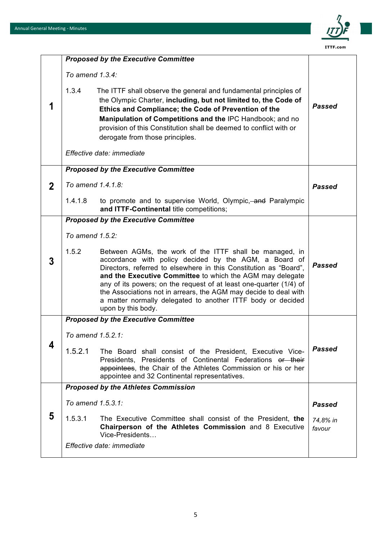

|             |                   | <b>Proposed by the Executive Committee</b>                                                                                                                                                                                                                                                                                                                                                                                                                                        |                    |
|-------------|-------------------|-----------------------------------------------------------------------------------------------------------------------------------------------------------------------------------------------------------------------------------------------------------------------------------------------------------------------------------------------------------------------------------------------------------------------------------------------------------------------------------|--------------------|
| 1           | To amend 1.3.4:   |                                                                                                                                                                                                                                                                                                                                                                                                                                                                                   |                    |
|             | 1.3.4             | The ITTF shall observe the general and fundamental principles of<br>the Olympic Charter, including, but not limited to, the Code of<br>Ethics and Compliance; the Code of Prevention of the<br>Manipulation of Competitions and the IPC Handbook; and no<br>provision of this Constitution shall be deemed to conflict with or<br>derogate from those principles.                                                                                                                 | Passed             |
|             |                   | Effective date: immediate                                                                                                                                                                                                                                                                                                                                                                                                                                                         |                    |
|             |                   | <b>Proposed by the Executive Committee</b>                                                                                                                                                                                                                                                                                                                                                                                                                                        |                    |
| $\mathbf 2$ | To amend 1.4.1.8: |                                                                                                                                                                                                                                                                                                                                                                                                                                                                                   | Passed             |
|             | 1.4.1.8           | to promote and to supervise World, Olympic, and Paralympic<br>and ITTF-Continental title competitions;                                                                                                                                                                                                                                                                                                                                                                            |                    |
|             |                   | <b>Proposed by the Executive Committee</b>                                                                                                                                                                                                                                                                                                                                                                                                                                        |                    |
|             | To amend 1.5.2:   |                                                                                                                                                                                                                                                                                                                                                                                                                                                                                   |                    |
| 3           | 1.5.2             | Between AGMs, the work of the ITTF shall be managed, in<br>accordance with policy decided by the AGM, a Board of<br>Directors, referred to elsewhere in this Constitution as "Board",<br>and the Executive Committee to which the AGM may delegate<br>any of its powers; on the request of at least one-quarter (1/4) of<br>the Associations not in arrears, the AGM may decide to deal with<br>a matter normally delegated to another ITTF body or decided<br>upon by this body. | <b>Passed</b>      |
|             |                   | <b>Proposed by the Executive Committee</b>                                                                                                                                                                                                                                                                                                                                                                                                                                        |                    |
|             | To amend 1.5.2.1: |                                                                                                                                                                                                                                                                                                                                                                                                                                                                                   |                    |
| 4           | 1.5.2.1           | The Board shall consist of the President, Executive Vice-<br>Presidents. Presidents of Continental Federations or their<br>appointees, the Chair of the Athletes Commission or his or her<br>appointee and 32 Continental representatives.                                                                                                                                                                                                                                        | Passed             |
|             |                   | <b>Proposed by the Athletes Commission</b>                                                                                                                                                                                                                                                                                                                                                                                                                                        |                    |
|             | To amend 1.5.3.1: |                                                                                                                                                                                                                                                                                                                                                                                                                                                                                   | Passed             |
| 5           | 1.5.3.1           | The Executive Committee shall consist of the President, the<br>Chairperson of the Athletes Commission and 8 Executive<br>Vice-Presidents                                                                                                                                                                                                                                                                                                                                          | 74.8% in<br>favour |
|             |                   | Effective date: immediate                                                                                                                                                                                                                                                                                                                                                                                                                                                         |                    |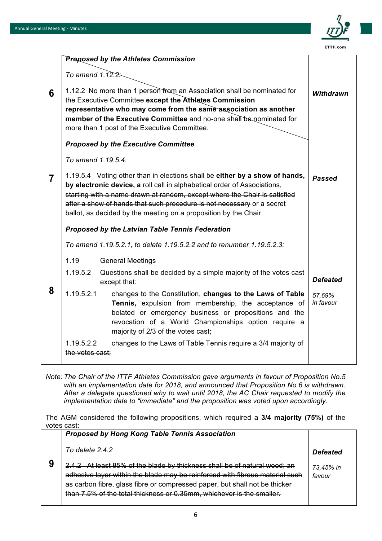

|   | <b>Proposed by the Athletes Commission</b>                                                                                                                                                                                                                                                                                                                                         |                     |
|---|------------------------------------------------------------------------------------------------------------------------------------------------------------------------------------------------------------------------------------------------------------------------------------------------------------------------------------------------------------------------------------|---------------------|
|   | To amend $1.12.2$ :                                                                                                                                                                                                                                                                                                                                                                |                     |
| 6 | 1.12.2 No more than 1 person from an Association shall be nominated for<br>the Executive Committee except the Athletes Commission<br>representative who may come from the same association as another<br>member of the Executive Committee and no-one shall be nominated for<br>more than 1 post of the Executive Committee.                                                       | Withdrawn           |
|   | <b>Proposed by the Executive Committee</b>                                                                                                                                                                                                                                                                                                                                         |                     |
|   | To amend 1.19.5.4:                                                                                                                                                                                                                                                                                                                                                                 |                     |
| 7 | 1.19.5.4 Voting other than in elections shall be either by a show of hands,<br>by electronic device, a roll call in alphabetical order of Associations,<br>starting with a name drawn at random, except where the Chair is satisfied<br>after a show of hands that such procedure is not necessary or a secret<br>ballot, as decided by the meeting on a proposition by the Chair. | Passed              |
|   | Proposed by the Latvian Table Tennis Federation                                                                                                                                                                                                                                                                                                                                    |                     |
|   | To amend 1.19.5.2.1, to delete 1.19.5.2.2 and to renumber 1.19.5.2.3:                                                                                                                                                                                                                                                                                                              |                     |
|   | 1.19<br><b>General Meetings</b>                                                                                                                                                                                                                                                                                                                                                    |                     |
|   | 1.19.5.2<br>Questions shall be decided by a simple majority of the votes cast<br>except that:                                                                                                                                                                                                                                                                                      | <b>Defeated</b>     |
| 8 | 1.19.5.2.1<br>changes to the Constitution, changes to the Laws of Table<br>Tennis, expulsion from membership, the acceptance of<br>belated or emergency business or propositions and the<br>revocation of a World Championships option require a<br>majority of 2/3 of the votes cast;                                                                                             | 57,69%<br>in favour |
|   | changes to the Laws of Table Tennis require a 3/4 majority of<br><u> 1.19.5.2.2 </u><br>the votes cast:                                                                                                                                                                                                                                                                            |                     |

*Note: The Chair of the ITTF Athletes Commission gave arguments in favour of Proposition No.5 with an implementation date for 2018, and announced that Proposition No.6 is withdrawn. After a delegate questioned why to wait until 2018, the AC Chair requested to modify the implementation date to "immediate" and the proposition was voted upon accordingly.* 

The AGM considered the following propositions, which required a **3/4 majority (75%)** of the votes cast:

|   | <b>Proposed by Hong Kong Table Tennis Association</b>                                                                                                                                                                                                                                                            |                     |
|---|------------------------------------------------------------------------------------------------------------------------------------------------------------------------------------------------------------------------------------------------------------------------------------------------------------------|---------------------|
|   | To delete 2.4.2                                                                                                                                                                                                                                                                                                  | <b>Defeated</b>     |
| 9 | 2.4.2 At least 85% of the blade by thickness shall be of natural wood; an<br>adhesive layer within the blade may be reinforced with fibrous material such<br>as carbon fibre, glass fibre or compressed paper, but shall not be thicker<br>than 7.5% of the total thickness or 0.35mm, whichever is the smaller. | 73.45% in<br>favour |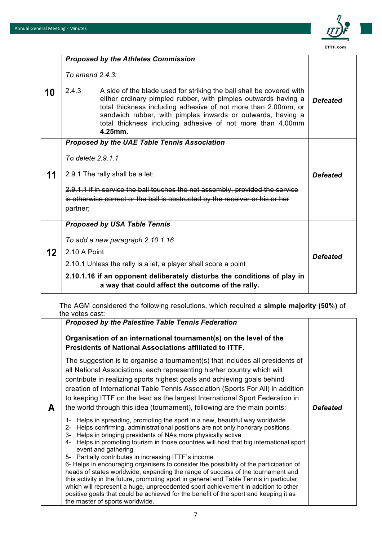

|    | <b>Proposed by the Athletes Commission</b>                                                                                                                                                                                                                                                                                                                |                 |
|----|-----------------------------------------------------------------------------------------------------------------------------------------------------------------------------------------------------------------------------------------------------------------------------------------------------------------------------------------------------------|-----------------|
|    | To amend $2.4.3$ :                                                                                                                                                                                                                                                                                                                                        |                 |
| 10 | 2.4.3<br>A side of the blade used for striking the ball shall be covered with<br>either ordinary pimpled rubber, with pimples outwards having a<br>total thickness including adhesive of not more than 2.00mm, or<br>sandwich rubber, with pimples inwards or outwards, having a<br>total thickness including adhesive of not more than 4.00mm<br>4.25mm. | <b>Defeated</b> |
|    | Proposed by the UAE Table Tennis Association                                                                                                                                                                                                                                                                                                              |                 |
|    | To delete 2.9.1.1                                                                                                                                                                                                                                                                                                                                         |                 |
| 11 | 2.9.1 The rally shall be a let:                                                                                                                                                                                                                                                                                                                           | <b>Defeated</b> |
|    | 2.9.1.1 if in service the ball touches the net assembly, provided the service<br>is otherwise correct or the ball is obstructed by the receiver or his or her<br>partner;                                                                                                                                                                                 |                 |
|    | <b>Proposed by USA Table Tennis</b>                                                                                                                                                                                                                                                                                                                       |                 |
|    | To add a new paragraph 2.10.1.16                                                                                                                                                                                                                                                                                                                          |                 |
| 12 | 2.10 A Point                                                                                                                                                                                                                                                                                                                                              | <b>Defeated</b> |
|    | 2.10.1 Unless the rally is a let, a player shall score a point                                                                                                                                                                                                                                                                                            |                 |
|    | 2.10.1.16 if an opponent deliberately disturbs the conditions of play in<br>a way that could affect the outcome of the rally.                                                                                                                                                                                                                             |                 |

The AGM considered the following resolutions, which required a **simple majority (50%)** of the votes cast:

|   | <b>Proposed by the Palestine Table Tennis Federation</b>                                                                                                                                                                                                                                                                                                                                                                                                                                                                                                                                                                                                                                                                                                                                                                                                                                                                                                                                                                                                                                     |                 |
|---|----------------------------------------------------------------------------------------------------------------------------------------------------------------------------------------------------------------------------------------------------------------------------------------------------------------------------------------------------------------------------------------------------------------------------------------------------------------------------------------------------------------------------------------------------------------------------------------------------------------------------------------------------------------------------------------------------------------------------------------------------------------------------------------------------------------------------------------------------------------------------------------------------------------------------------------------------------------------------------------------------------------------------------------------------------------------------------------------|-----------------|
|   | Organisation of an international tournament(s) on the level of the<br>Presidents of National Associations affiliated to ITTF.                                                                                                                                                                                                                                                                                                                                                                                                                                                                                                                                                                                                                                                                                                                                                                                                                                                                                                                                                                |                 |
| A | The suggestion is to organise a tournament(s) that includes all presidents of<br>all National Associations, each representing his/her country which will<br>contribute in realizing sports highest goals and achieving goals behind<br>creation of International Table Tennis Association (Sports For All) in addition<br>to keeping ITTF on the lead as the largest International Sport Federation in<br>the world through this idea (tournament), following are the main points:<br>Helps in spreading, promoting the sport in a new, beautiful way worldwide<br>1-<br>Helps confirming, administrational positions are not only honorary positions<br>$2 -$<br>Helps in bringing presidents of NAs more physically active<br>3-<br>Helps in promoting tourism in those countries will host that big international sport<br>4-<br>event and gathering<br>5- Partially contributes in increasing ITTF's income<br>6- Helps in encouraging organisers to consider the possibility of the participation of<br>heads of states worldwide, expanding the range of success of the tournament and | <b>Defeated</b> |
|   | this activity in the future, promoting sport in general and Table Tennis in particular<br>which will represent a huge, unprecedented sport achievement in addition to other<br>positive goals that could be achieved for the benefit of the sport and keeping it as<br>the master of sports worldwide.                                                                                                                                                                                                                                                                                                                                                                                                                                                                                                                                                                                                                                                                                                                                                                                       |                 |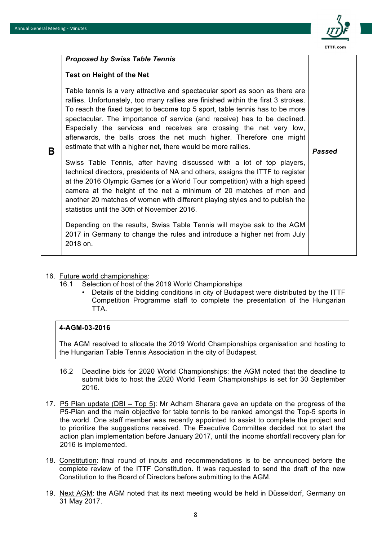

### **B** *Proposed by Swiss Table Tennis* **Test on Height of the Net** Table tennis is a very attractive and spectacular sport as soon as there are rallies. Unfortunately, too many rallies are finished within the first 3 strokes. To reach the fixed target to become top 5 sport, table tennis has to be more spectacular. The importance of service (and receive) has to be declined. Especially the services and receives are crossing the net very low, afterwards, the balls cross the net much higher. Therefore one might estimate that with a higher net, there would be more rallies. Swiss Table Tennis, after having discussed with a lot of top players, technical directors, presidents of NA and others, assigns the ITTF to register at the 2016 Olympic Games (or a World Tour competition) with a high speed camera at the height of the net a minimum of 20 matches of men and another 20 matches of women with different playing styles and to publish the statistics until the 30th of November 2016. Depending on the results, Swiss Table Tennis will maybe ask to the AGM 2017 in Germany to change the rules and introduce a higher net from July 2018 on. *Passed*

- 16. Future world championships:
	- 16.1 Selection of host of the 2019 World Championships
		- Details of the bidding conditions in city of Budapest were distributed by the ITTF Competition Programme staff to complete the presentation of the Hungarian TTA.

### **4-AGM-03-2016**

The AGM resolved to allocate the 2019 World Championships organisation and hosting to the Hungarian Table Tennis Association in the city of Budapest.

- 16.2 Deadline bids for 2020 World Championships: the AGM noted that the deadline to submit bids to host the 2020 World Team Championships is set for 30 September 2016.
- 17. P5 Plan update (DBI Top 5): Mr Adham Sharara gave an update on the progress of the P5-Plan and the main objective for table tennis to be ranked amongst the Top-5 sports in the world. One staff member was recently appointed to assist to complete the project and to prioritize the suggestions received. The Executive Committee decided not to start the action plan implementation before January 2017, until the income shortfall recovery plan for 2016 is implemented.
- 18. Constitution: final round of inputs and recommendations is to be announced before the complete review of the ITTF Constitution. It was requested to send the draft of the new Constitution to the Board of Directors before submitting to the AGM.
- 19. Next AGM: the AGM noted that its next meeting would be held in Düsseldorf, Germany on 31 May 2017.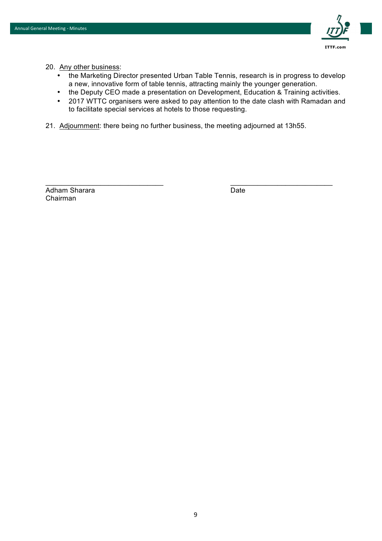

- 20. Any other business:
	- the Marketing Director presented Urban Table Tennis, research is in progress to develop a new, innovative form of table tennis, attracting mainly the younger generation.
	- the Deputy CEO made a presentation on Development, Education & Training activities.
	- 2017 WTTC organisers were asked to pay attention to the date clash with Ramadan and to facilitate special services at hotels to those requesting.
- 21. Adjournment: there being no further business, the meeting adjourned at 13h55.

 $\Box$ 

Adham Sharara **Date** Date **Date** Date Chairman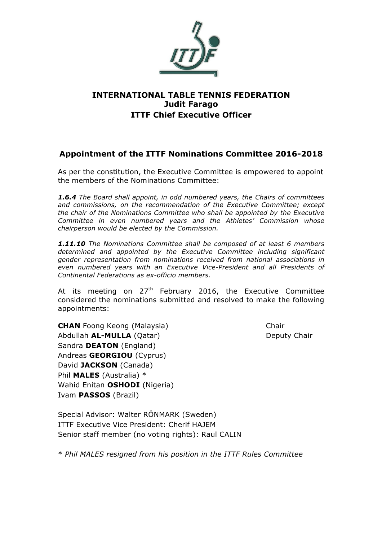

### **INTERNATIONAL TABLE TENNIS FEDERATION Judit Farago ITTF Chief Executive Officer**

### **Appointment of the ITTF Nominations Committee 2016-2018**

As per the constitution, the Executive Committee is empowered to appoint the members of the Nominations Committee:

*1.6.4 The Board shall appoint, in odd numbered years, the Chairs of committees and commissions, on the recommendation of the Executive Committee; except the chair of the Nominations Committee who shall be appointed by the Executive Committee in even numbered years and the Athletes' Commission whose chairperson would be elected by the Commission.* 

*1.11.10 The Nominations Committee shall be composed of at least 6 members determined and appointed by the Executive Committee including significant gender representation from nominations received from national associations in even numbered years with an Executive Vice-President and all Presidents of Continental Federations as ex-officio members.* 

At its meeting on  $27<sup>th</sup>$  February 2016, the Executive Committee considered the nominations submitted and resolved to make the following appointments:

**CHAN** Foong Keong (Malaysia) Chair Abdullah **AL-MULLA** (Oatar) **Deputy Chair** Deputy Chair Sandra **DEATON** (England) Andreas **GEORGIOU** (Cyprus) David **JACKSON** (Canada) Phil **MALES** (Australia) \* Wahid Enitan **OSHODI** (Nigeria) Ivam **PASSOS** (Brazil)

Special Advisor: Walter RÖNMARK (Sweden) ITTF Executive Vice President: Cherif HAJEM Senior staff member (no voting rights): Raul CALIN

\* *Phil MALES resigned from his position in the ITTF Rules Committee*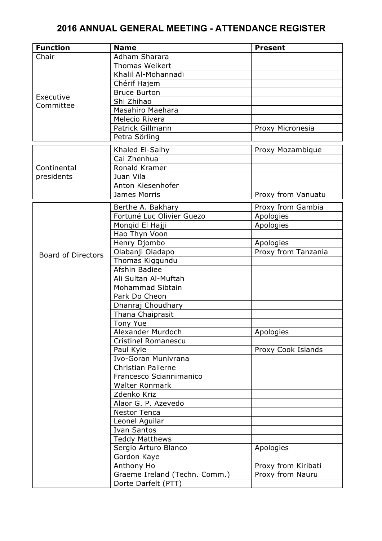| <b>Function</b>           | <b>Name</b>                   | <b>Present</b>      |
|---------------------------|-------------------------------|---------------------|
| Chair                     | Adham Sharara                 |                     |
|                           | <b>Thomas Weikert</b>         |                     |
|                           | Khalil Al-Mohannadi           |                     |
|                           | Chérif Hajem                  |                     |
|                           | <b>Bruce Burton</b>           |                     |
| Executive<br>Committee    | Shi Zhihao                    |                     |
|                           | Masahiro Maehara              |                     |
|                           | Melecio Rivera                |                     |
|                           | Patrick Gillmann              | Proxy Micronesia    |
|                           | Petra Sörling                 |                     |
|                           | Khaled El-Salhy               | Proxy Mozambique    |
|                           | Cai Zhenhua                   |                     |
| Continental               | Ronald Kramer                 |                     |
| presidents                | Juan Vila                     |                     |
|                           | Anton Kiesenhofer             |                     |
|                           | James Morris                  | Proxy from Vanuatu  |
|                           |                               |                     |
|                           | Berthe A. Bakhary             | Proxy from Gambia   |
|                           | Fortuné Luc Olivier Guezo     | Apologies           |
|                           | Mongid El Hajji               | Apologies           |
|                           | Hao Thyn Voon                 |                     |
|                           | Henry Djombo                  | Apologies           |
| <b>Board of Directors</b> | Olabanji Oladapo              | Proxy from Tanzania |
|                           | Thomas Kiggundu               |                     |
|                           | Afshin Badiee                 |                     |
|                           | Ali Sultan Al-Muftah          |                     |
|                           | Mohammad Sibtain              |                     |
|                           | Park Do Cheon                 |                     |
|                           | Dhanraj Choudhary             |                     |
|                           | Thana Chaiprasit              |                     |
|                           | Tony Yue                      |                     |
|                           | Alexander Murdoch             | Apologies           |
|                           | Cristinel Romanescu           |                     |
|                           | Paul Kyle                     | Proxy Cook Islands  |
|                           | Ivo-Goran Munivrana           |                     |
|                           | <b>Christian Palierne</b>     |                     |
|                           | Francesco Sciannimanico       |                     |
|                           | Walter Rönmark                |                     |
|                           | Zdenko Kriz                   |                     |
|                           | Alaor G. P. Azevedo           |                     |
|                           | <b>Nestor Tenca</b>           |                     |
|                           | Leonel Aguilar                |                     |
|                           | <b>Ivan Santos</b>            |                     |
|                           | <b>Teddy Matthews</b>         |                     |
|                           | Sergio Arturo Blanco          | Apologies           |
|                           | Gordon Kaye                   |                     |
|                           | Anthony Ho                    | Proxy from Kiribati |
|                           | Graeme Ireland (Techn. Comm.) | Proxy from Nauru    |
|                           | Dorte Darfelt (PTT)           |                     |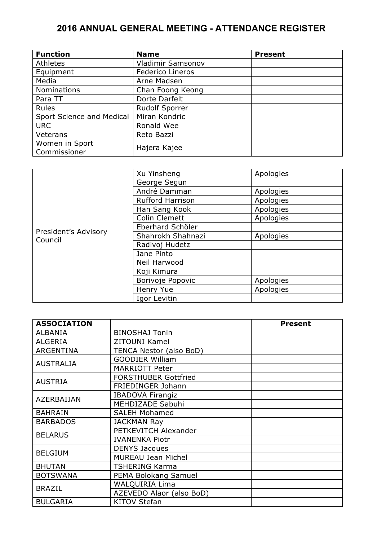| <b>Function</b>           | <b>Name</b>           | <b>Present</b> |
|---------------------------|-----------------------|----------------|
| Athletes                  | Vladimir Samsonov     |                |
| Equipment                 | Federico Lineros      |                |
| Media                     | Arne Madsen           |                |
| <b>Nominations</b>        | Chan Foong Keong      |                |
| Para TT                   | Dorte Darfelt         |                |
| <b>Rules</b>              | <b>Rudolf Sporrer</b> |                |
| Sport Science and Medical | Miran Kondric         |                |
| <b>URC</b>                | Ronald Wee            |                |
| Veterans                  | Reto Bazzi            |                |
| Women in Sport            |                       |                |
| Commissioner              | Hajera Kajee          |                |

|                      | Xu Yinsheng             | Apologies |
|----------------------|-------------------------|-----------|
|                      | George Segun            |           |
|                      | André Damman            | Apologies |
|                      | <b>Rufford Harrison</b> | Apologies |
|                      | Han Sang Kook           | Apologies |
|                      | Colin Clemett           | Apologies |
| President's Advisory | Eberhard Schöler        |           |
| Council              | Shahrokh Shahnazi       | Apologies |
|                      | Radivoj Hudetz          |           |
|                      | Jane Pinto              |           |
|                      | Neil Harwood            |           |
|                      | Koji Kimura             |           |
|                      | Borivoje Popovic        | Apologies |
|                      | Henry Yue               | Apologies |
|                      | Igor Levitin            |           |

| <b>ASSOCIATION</b> |                             | <b>Present</b> |
|--------------------|-----------------------------|----------------|
| <b>ALBANIA</b>     | <b>BINOSHAJ Tonin</b>       |                |
| <b>ALGERIA</b>     | <b>ZITOUNI Kamel</b>        |                |
| <b>ARGENTINA</b>   | TENCA Nestor (also BoD)     |                |
| <b>AUSTRALIA</b>   | <b>GOODIER William</b>      |                |
|                    | <b>MARRIOTT Peter</b>       |                |
| <b>AUSTRIA</b>     | <b>FORSTHUBER Gottfried</b> |                |
|                    | FRIEDINGER Johann           |                |
| AZERBAIJAN         | <b>IBADOVA Firangiz</b>     |                |
|                    | MEHDIZADE Sabuhi            |                |
| <b>BAHRAIN</b>     | <b>SALEH Mohamed</b>        |                |
| <b>BARBADOS</b>    | <b>JACKMAN Ray</b>          |                |
| <b>BELARUS</b>     | PETKEVITCH Alexander        |                |
|                    | <b>IVANENKA Piotr</b>       |                |
| <b>BELGIUM</b>     | <b>DENYS Jacques</b>        |                |
|                    | <b>MUREAU Jean Michel</b>   |                |
| <b>BHUTAN</b>      | <b>TSHERING Karma</b>       |                |
| <b>BOTSWANA</b>    | PEMA Bolokang Samuel        |                |
| <b>BRAZIL</b>      | <b>WALQUIRIA Lima</b>       |                |
|                    | AZEVEDO Alaor (also BoD)    |                |
| <b>BULGARIA</b>    | <b>KITOV Stefan</b>         |                |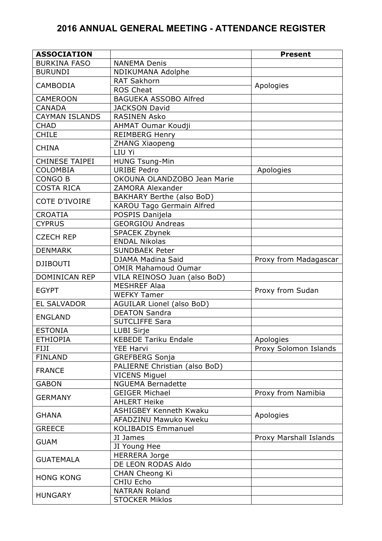| <b>ASSOCIATION</b>    |                                  | <b>Present</b>         |
|-----------------------|----------------------------------|------------------------|
| <b>BURKINA FASO</b>   | <b>NANEMA Denis</b>              |                        |
| <b>BURUNDI</b>        | NDIKUMANA Adolphe                |                        |
|                       | <b>RAT Sakhorn</b>               |                        |
| <b>CAMBODIA</b>       | <b>ROS Cheat</b>                 | Apologies              |
| <b>CAMEROON</b>       | <b>BAGUEKA ASSOBO Alfred</b>     |                        |
| <b>CANADA</b>         | <b>JACKSON David</b>             |                        |
| <b>CAYMAN ISLANDS</b> | <b>RASINEN Asko</b>              |                        |
| <b>CHAD</b>           | <b>AHMAT Oumar Koudji</b>        |                        |
| <b>CHILE</b>          | <b>REIMBERG Henry</b>            |                        |
|                       | <b>ZHANG Xiaopeng</b>            |                        |
| <b>CHINA</b>          | LIU Yi                           |                        |
| <b>CHINESE TAIPEI</b> | <b>HUNG Tsung-Min</b>            |                        |
| <b>COLOMBIA</b>       | <b>URIBE Pedro</b>               | Apologies              |
| <b>CONGO B</b>        | OKOUNA OLANDZOBO Jean Marie      |                        |
| <b>COSTA RICA</b>     | ZAMORA Alexander                 |                        |
|                       | <b>BAKHARY Berthe (also BoD)</b> |                        |
| <b>COTE D'IVOIRE</b>  | <b>KAROU Tago Germain Alfred</b> |                        |
| <b>CROATIA</b>        | POSPIS Danijela                  |                        |
| <b>CYPRUS</b>         | <b>GEORGIOU Andreas</b>          |                        |
|                       | SPACEK Zbynek                    |                        |
| <b>CZECH REP</b>      | <b>ENDAL Nikolas</b>             |                        |
| <b>DENMARK</b>        | <b>SUNDBAEK Peter</b>            |                        |
|                       | DJAMA Madina Said                | Proxy from Madagascar  |
| <b>DJIBOUTI</b>       | <b>OMIR Mahamoud Oumar</b>       |                        |
| <b>DOMINICAN REP</b>  | VILA REINOSO Juan (also BoD)     |                        |
|                       | <b>MESHREF Alaa</b>              |                        |
| <b>EGYPT</b>          | <b>WEFKY Tamer</b>               | Proxy from Sudan       |
| <b>EL SALVADOR</b>    | AGUILAR Lionel (also BoD)        |                        |
|                       | <b>DEATON Sandra</b>             |                        |
| <b>ENGLAND</b>        | <b>SUTCLIFFE Sara</b>            |                        |
| <b>ESTONIA</b>        | <b>LUBI Sirje</b>                |                        |
| <b>ETHIOPIA</b>       | <b>KEBEDE Tariku Endale</b>      | Apologies              |
| FIJI                  | <b>YEE Harvi</b>                 | Proxy Solomon Islands  |
| <b>FINLAND</b>        | <b>GREFBERG Sonja</b>            |                        |
| <b>FRANCE</b>         | PALIERNE Christian (also BoD)    |                        |
|                       | <b>VICENS Miguel</b>             |                        |
| <b>GABON</b>          | <b>NGUEMA Bernadette</b>         |                        |
|                       | <b>GEIGER Michael</b>            | Proxy from Namibia     |
| <b>GERMANY</b>        | <b>AHLERT Heike</b>              |                        |
| <b>GHANA</b>          | <b>ASHIGBEY Kenneth Kwaku</b>    | Apologies              |
|                       | AFADZINU Mawuko Kweku            |                        |
| <b>GREECE</b>         | <b>KOLIBADIS Emmanuel</b>        |                        |
|                       | JI James                         | Proxy Marshall Islands |
| <b>GUAM</b>           | JI Young Hee                     |                        |
| <b>GUATEMALA</b>      | <b>HERRERA Jorge</b>             |                        |
|                       | DE LEON RODAS Aldo               |                        |
| <b>HONG KONG</b>      | <b>CHAN Cheong Ki</b>            |                        |
|                       | CHIU Echo                        |                        |
| <b>HUNGARY</b>        | <b>NATRAN Roland</b>             |                        |
|                       | <b>STOCKER Miklos</b>            |                        |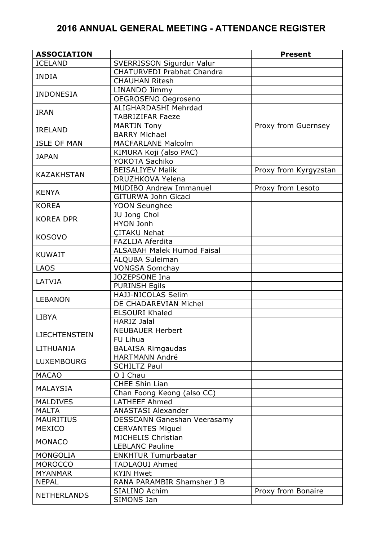| <b>ASSOCIATION</b> |                                   | <b>Present</b>        |
|--------------------|-----------------------------------|-----------------------|
| <b>ICELAND</b>     | SVERRISSON Sigurdur Valur         |                       |
|                    | <b>CHATURVEDI Prabhat Chandra</b> |                       |
| <b>INDIA</b>       | <b>CHAUHAN Ritesh</b>             |                       |
|                    | LINANDO Jimmy                     |                       |
| <b>INDONESIA</b>   | OEGROSENO Oegroseno               |                       |
|                    | ALIGHARDASHI Mehrdad              |                       |
| <b>IRAN</b>        | <b>TABRIZIFAR Faeze</b>           |                       |
|                    | <b>MARTIN Tony</b>                | Proxy from Guernsey   |
| <b>IRELAND</b>     | <b>BARRY Michael</b>              |                       |
| <b>ISLE OF MAN</b> | <b>MACFARLANE Malcolm</b>         |                       |
| <b>JAPAN</b>       | KIMURA Koji (also PAC)            |                       |
|                    | YOKOTA Sachiko                    |                       |
|                    | <b>BEISALIYEV Malik</b>           | Proxy from Kyrgyzstan |
| <b>KAZAKHSTAN</b>  | DRUZHKOVA Yelena                  |                       |
|                    | <b>MUDIBO Andrew Immanuel</b>     | Proxy from Lesoto     |
| <b>KENYA</b>       | GITURWA John Gicaci               |                       |
| <b>KOREA</b>       | YOON Seunghee                     |                       |
|                    | JU Jong Chol                      |                       |
| <b>KOREA DPR</b>   | <b>HYON Jonh</b>                  |                       |
|                    | <b>CITAKU Nehat</b>               |                       |
| <b>KOSOVO</b>      | FAZLIJA Aferdita                  |                       |
|                    | <b>ALSABAH Malek Humod Faisal</b> |                       |
| <b>KUWAIT</b>      | ALQUBA Suleiman                   |                       |
| <b>LAOS</b>        | <b>VONGSA Somchay</b>             |                       |
|                    | JOZEPSONE Ina                     |                       |
| LATVIA             | <b>PURINSH Egils</b>              |                       |
|                    | HAJJ-NICOLAS Selim                |                       |
| <b>LEBANON</b>     | DE CHADAREVIAN Michel             |                       |
|                    | <b>ELSOURI Khaled</b>             |                       |
| <b>LIBYA</b>       | <b>HARIZ Jalal</b>                |                       |
|                    | <b>NEUBAUER Herbert</b>           |                       |
| LIECHTENSTEIN      | FU Lihua                          |                       |
| LITHUANIA          | <b>BALAISA Rimgaudas</b>          |                       |
|                    | <b>HARTMANN André</b>             |                       |
| <b>LUXEMBOURG</b>  | <b>SCHILTZ Paul</b>               |                       |
| <b>MACAO</b>       | O I Chau                          |                       |
|                    | <b>CHEE Shin Lian</b>             |                       |
| <b>MALAYSIA</b>    | Chan Foong Keong (also CC)        |                       |
| <b>MALDIVES</b>    | <b>LATHEEF Ahmed</b>              |                       |
| <b>MALTA</b>       | <b>ANASTASI Alexander</b>         |                       |
| <b>MAURITIUS</b>   | DESSCANN Ganeshan Veerasamy       |                       |
| <b>MEXICO</b>      | <b>CERVANTES Miguel</b>           |                       |
|                    | <b>MICHELIS Christian</b>         |                       |
| <b>MONACO</b>      | <b>LEBLANC Pauline</b>            |                       |
| <b>MONGOLIA</b>    | <b>ENKHTUR Tumurbaatar</b>        |                       |
| <b>MOROCCO</b>     | <b>TADLAOUI Ahmed</b>             |                       |
| <b>MYANMAR</b>     | <b>KYIN Hwet</b>                  |                       |
| <b>NEPAL</b>       | RANA PARAMBIR Shamsher J B        |                       |
| <b>NETHERLANDS</b> | SIALINO Achim                     | Proxy from Bonaire    |
|                    | SIMONS Jan                        |                       |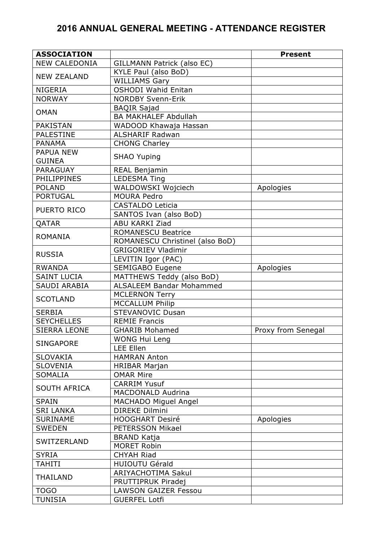| <b>ASSOCIATION</b>   |                                 | <b>Present</b>     |
|----------------------|---------------------------------|--------------------|
| <b>NEW CALEDONIA</b> | GILLMANN Patrick (also EC)      |                    |
|                      | KYLE Paul (also BoD)            |                    |
| <b>NEW ZEALAND</b>   | <b>WILLIAMS Gary</b>            |                    |
| <b>NIGERIA</b>       | <b>OSHODI Wahid Enitan</b>      |                    |
| <b>NORWAY</b>        | <b>NORDBY Svenn-Erik</b>        |                    |
|                      | <b>BAQIR Sajad</b>              |                    |
| <b>OMAN</b>          | <b>BA MAKHALEF Abdullah</b>     |                    |
| <b>PAKISTAN</b>      | WADOOD Khawaja Hassan           |                    |
| <b>PALESTINE</b>     | <b>ALSHARIF Radwan</b>          |                    |
| <b>PANAMA</b>        | <b>CHONG Charley</b>            |                    |
| <b>PAPUA NEW</b>     |                                 |                    |
| <b>GUINEA</b>        | <b>SHAO Yuping</b>              |                    |
| PARAGUAY             | REAL Benjamin                   |                    |
| <b>PHILIPPINES</b>   | <b>LEDESMA Ting</b>             |                    |
| <b>POLAND</b>        | WALDOWSKI Wojciech              | Apologies          |
| <b>PORTUGAL</b>      | <b>MOURA Pedro</b>              |                    |
|                      | <b>CASTALDO Leticia</b>         |                    |
| PUERTO RICO          | SANTOS Ivan (also BoD)          |                    |
| QATAR                | <b>ABU KARKI Ziad</b>           |                    |
|                      | <b>ROMANESCU Beatrice</b>       |                    |
| <b>ROMANIA</b>       | ROMANESCU Christinel (also BoD) |                    |
|                      | <b>GRIGORIEV Vladimir</b>       |                    |
| <b>RUSSIA</b>        | LEVITIN Igor (PAC)              |                    |
| <b>RWANDA</b>        | SEMIGABO Eugene                 | Apologies          |
| <b>SAINT LUCIA</b>   | MATTHEWS Teddy (also BoD)       |                    |
| SAUDI ARABIA         | <b>ALSALEEM Bandar Mohammed</b> |                    |
|                      | <b>MCLERNON Terry</b>           |                    |
| <b>SCOTLAND</b>      | <b>MCCALLUM Philip</b>          |                    |
| <b>SERBIA</b>        | <b>STEVANOVIC Dusan</b>         |                    |
| <b>SEYCHELLES</b>    | <b>REMIE Francis</b>            |                    |
| <b>SIERRA LEONE</b>  | <b>GHARIB Mohamed</b>           | Proxy from Senegal |
|                      | <b>WONG Hui Leng</b>            |                    |
| <b>SINGAPORE</b>     | <b>LEE Ellen</b>                |                    |
| <b>SLOVAKIA</b>      | <b>HAMRAN Anton</b>             |                    |
| <b>SLOVENIA</b>      | <b>HRIBAR Marjan</b>            |                    |
| <b>SOMALIA</b>       | <b>OMAR Mire</b>                |                    |
|                      | <b>CARRIM Yusuf</b>             |                    |
| <b>SOUTH AFRICA</b>  | <b>MACDONALD Audrina</b>        |                    |
| <b>SPAIN</b>         | <b>MACHADO Miguel Angel</b>     |                    |
| <b>SRI LANKA</b>     | <b>DIREKE Dilmini</b>           |                    |
| <b>SURINAME</b>      | <b>HOOGHART Desiré</b>          | Apologies          |
| <b>SWEDEN</b>        | PETERSSON Mikael                |                    |
|                      | <b>BRAND Katja</b>              |                    |
| SWITZERLAND          | <b>MORET Robin</b>              |                    |
| <b>SYRIA</b>         | <b>CHYAH Riad</b>               |                    |
| TAHITI               | <b>HUIOUTU Gérald</b>           |                    |
|                      | <b>ARIYACHOTIMA Sakul</b>       |                    |
| THAILAND             | PRUTTIPRUK Piradej              |                    |
| <b>TOGO</b>          | <b>LAWSON GAIZER Fessou</b>     |                    |
| <b>TUNISIA</b>       | <b>GUERFEL Lotfi</b>            |                    |